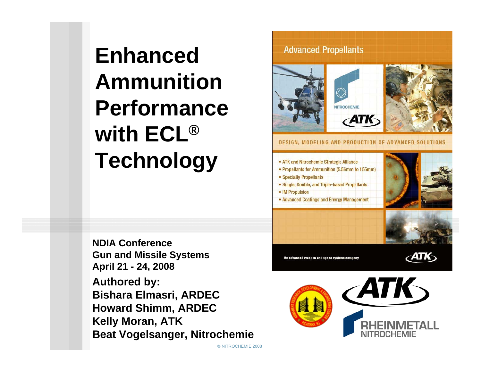# **Enhanced Ammunition Performance with ECL® Technology**

**NDIA ConferenceGun and Missile Systems April 21 - 24, 2008 Authored by: Bishara Elmasri, ARDEC Howard Shimm, ARDEC Kelly Moran, ATK Beat Vogelsanger, Nitrochemie**

#### **Advanced Propellants**







**DESIGN, MODELING AND PRODUCTION OF ADVANCED SOLUTIONS** 

#### · ATK and Nitrochemie Strategic Alliance

- Propellants for Ammunition (5.56mm to 155mm)
- Specialty Propellants
- Single, Double, and Triple-based Propellants
- IM Propulsion

© NITROCHEMIE 2008

• Advanced Coatings and Energy Management





An advanced weapon and space systems com



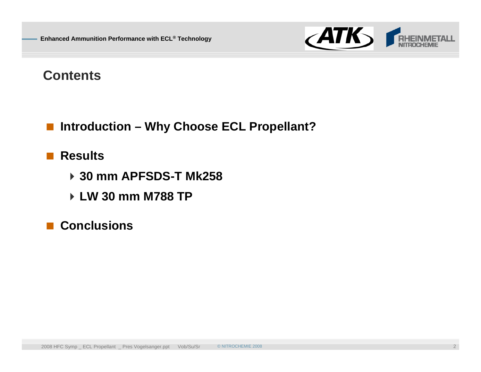

### **Contents**

■ Introduction – Why Choose ECL Propellant?

### **■ Results**

- **30 mm APFSDS-T Mk258**
- **LW 30 mm M788 TP**

### **■ Conclusions**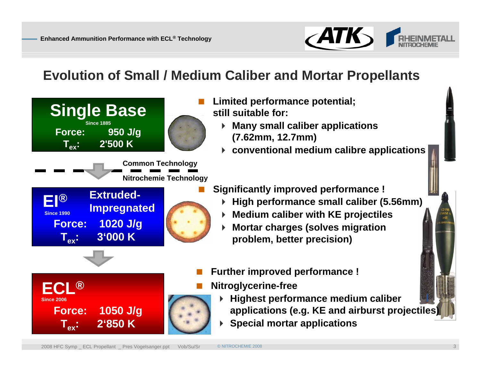

# **Evolution of Small / Medium Caliber and Mortar Propellants**



- **Limited performance potential; still suitable for:**
	- **Many small caliber applications (7.62mm, 12.7mm)**
	- **conventional medium calibre applications**
- **Significantly improved performance !** 
	- **High performance small caliber (5.56mm)**
	- **Medium caliber with KE projectiles**
	- **Mortar charges (solves migration problem, better precision)**
- **Further improved performance !**
- **Nitroglycerine-free**
	- **Highest performance medium caliber applications (e.g. KE and airburst projectiles)**
	- **Special mortar applications**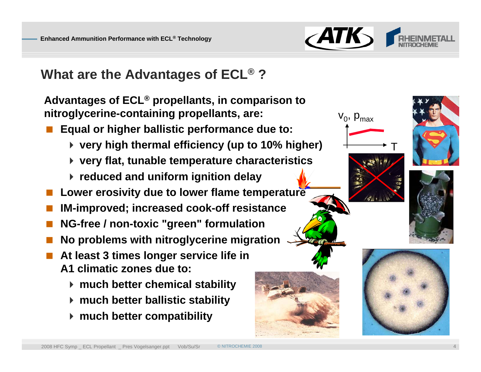

T

v<sub>0</sub>, p<sub>max</sub>

# **What are the Advantages of ECL ® ?**

**Advantages of ECL ® propellants, in comparison to nitroglycerine-containing propellants, are:** 

- **Equal or higher ballistic performance due to:** 
	- **very high thermal efficiency (up to 10% higher)**
	- **very flat, tunable temperature characteristics**
	- **reduced and uniform ignition delay**
- **Lower erosivity due to lower flame temperature**
- **IM-improved; increased cook-off resistance**
- **NG-free / non-toxic "green" formulation**
- T. **No problems with nitroglycerine migration**
- **At least 3 times longer service life in A1 climatic zones due to:**
	- **much better chemical stability**
	- **much better ballistic stability**
	- **much better compatibility**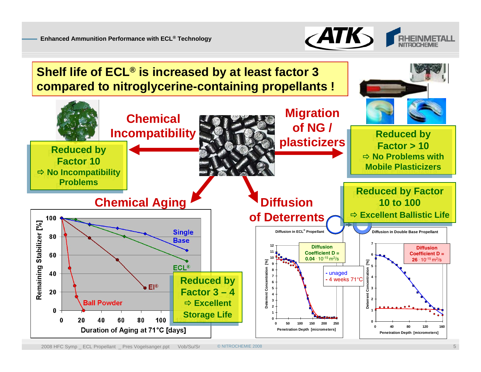

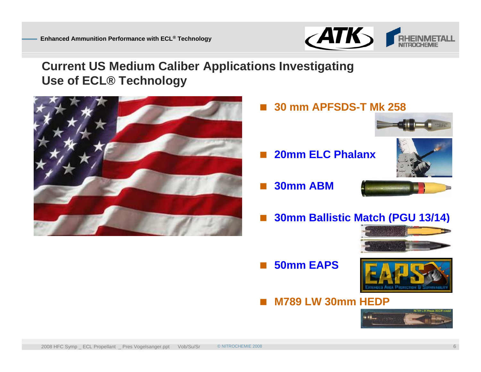

### **Current US Medium Caliber Applications Investigating Use of ECL® Technology**



**30 mm APFSDS-T Mk 258**



Ħ **30mm ABM**



**30mm Ballistic Match (PGU 13/14)**



**50mm EAPS**



**M789 LW 30mm HEDP**

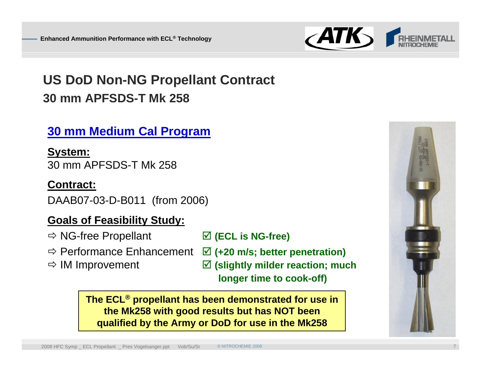

# **US DoD Non-NG Propellant Contract 30 mm APFSDS-T Mk 258**

### **30 mm Medium Cal Program**

**System:** 30 mm APFSDS-T Mk 258

#### **Contract:**

DAAB07-03-D-B011 (from 2006)

### **Goals of Feasibility Study:**

 $\Rightarrow$  NG-free Propellant

- $\Rightarrow$  **Performance Enhancement**   $\boxed{v}$  (+20 m/s; better penetration)
- $\Rightarrow$  IM Improvement

; **(ECL is NG-free)**

- 
- ; **(slightly milder reaction; much longer time to cook-off)**

**The ECL ® propellant has been demonstrated for use in the Mk258 with good results but has NOT been qualified by the Army or DoD for use in the Mk258**

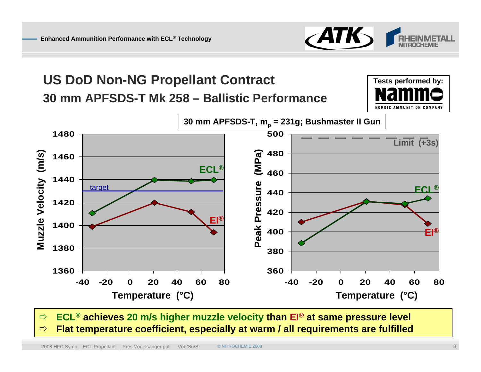

**Tests performed by:**

# **US DoD Non-NG Propellant Contract 30 mm APFSDS-T Mk 258 – Ballistic Performance**



 $\Rightarrow$  **ECL ® achieves 20 m/s higher muzzle velocity than EI ® at same pressure level**  $\Rightarrow$ **Flat temperature coefficient, especially at warm / all requirements are fulfilled**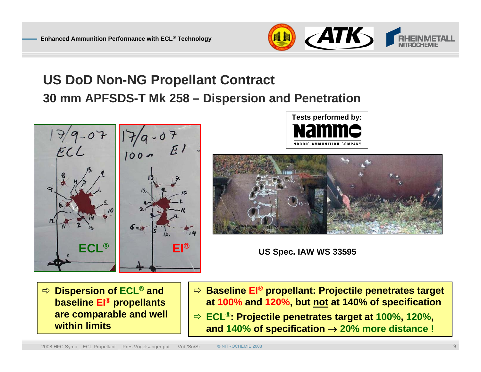

# **US DoD Non-NG Propellant Contract 30 mm APFSDS-T Mk 258 – Dispersion and Penetration**



![](_page_8_Picture_4.jpeg)

![](_page_8_Picture_5.jpeg)

**US Spec. IAW WS 33595**

Ö **Dispersion of ECL ® and baseline EI ® propellants are comparable and well within limits**

- Ö **Baseline EI ® propellant: Projectile penetrates target at 100% and 120%, but not at 140% of specification**
- Ö **ECL ®: Projectile penetrates target at 100%, 120%, and 140% of specification**  → **20% more distance !**

2008 HFC Symp \_ ECL Propellant \_ Pres Vogelsanger.ppt Vob/Su/Sr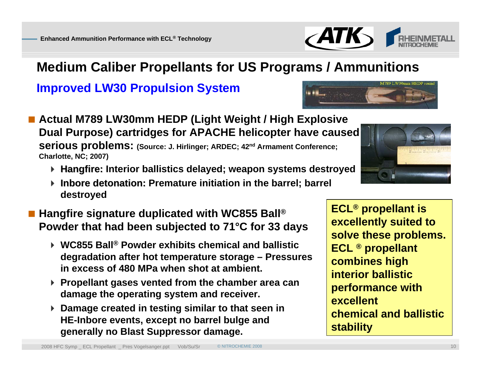## **Medium Caliber Propellants for US Programs / Ammunitions**

**Improved LW30 Propulsion System**

- **Actual M789 LW30mm HEDP (Light Weight / High Explosive Dual Purpose) cartridges for APACHE helicopter have caused serious problems: (Source: J. Hirlinger; ARDEC; 42nd Armament Conference; Charlotte, NC; 2007)**
	- **Hangfire Hangfire: Interior ballistics delayed; weapon systems destroyed :**
- **Inbore detonation: Premature initiation in the barrel; barrel details: destroyed**
- **Hangfire signature duplicated with WC855 Ball ® Powder that had been subjected to 71°C for 33 days**
	- **WC855 Ball ® Powder exhibits chemical and ballistic degradation after hot temperature storage – Pressures in excess of 480 MPa when shot at ambient.**
	- **Propellant gases vented from the chamber area can damage the operating system and receiver.**
	- **Damage created in testing similar to that seen in HE-Inbore events, except no barrel bulge and generally no Blast Suppressor damage.**

![](_page_9_Picture_12.jpeg)

![](_page_9_Picture_13.jpeg)

**ECL ® propellant is** 

**ECL ® propellant** 

**combines high**

**interior ballistic** 

**excellent**

**stability**

**performance with** 

**chemical and ballistic** 

**excellently suited to** 

**solve these problems.** 

![](_page_9_Picture_14.jpeg)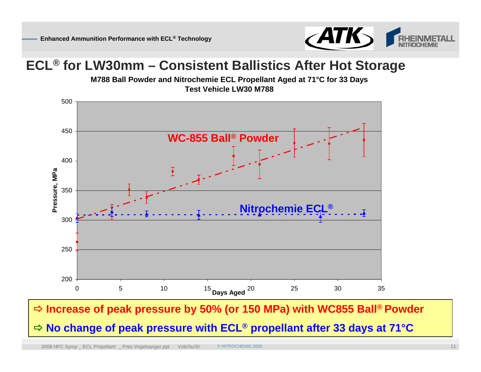![](_page_10_Picture_1.jpeg)

#### **ECL ® for LW30mm – Consistent Ballistics After Hot Storage**

**M788 Ball Powder and Nitrochemie ECL Propellant Aged at 71°C for 33 Days Test Vehicle LW30 M788**

![](_page_10_Figure_4.jpeg)

#### Ö **Increase of peak pressure by 50% (or 150 MPa) with WC855 Ball ® Powder**

#### Ö **No change of peak pressure with ECL ® propellant after 33 days at 71°C**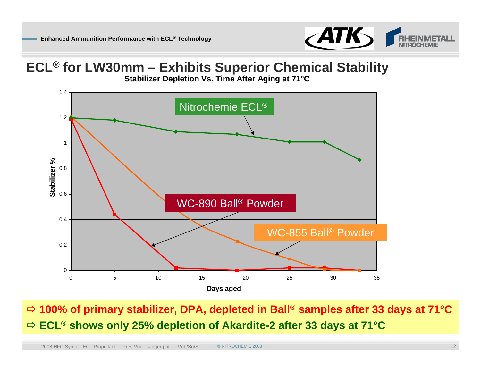![](_page_11_Picture_1.jpeg)

#### **ECL ® for LW30mm – Exhibits Superior Chemical Stability**

**Stabilizer Depletion Vs. Time After Aging at 71°C**

![](_page_11_Figure_4.jpeg)

Ö **100% of primary stabilizer, DPA, depleted in Ball** ® **samples after 33 days at 71°C** Ö **ECL ® shows only 25% depletion of Akardite-2 after 33 days at 71°C**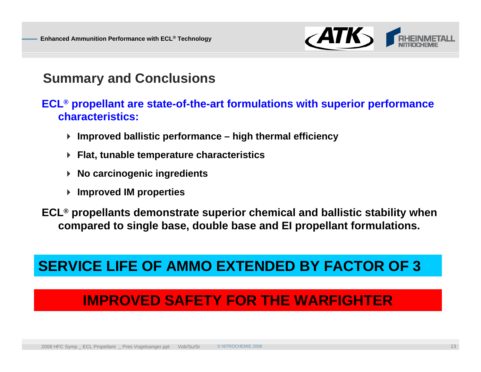![](_page_12_Picture_1.jpeg)

### **Summary and Conclusions**

#### **ECL ® propellant are state-of-the-art formulations with superior performance characteristics:**

- **Improved ballistic performance – high thermal efficiency**
- **Flat, tunable temperature characteristics**
- **No carcinogenic ingredients**
- **Improved IM properties**

**ECL ® propellants demonstrate superior chemical and ballistic stability when compared to single base, double base and EI propellant formulations.**

# **SERVICE LIFE OF AMMO EXTENDED BY FACTOR OF 3**

# **IMPROVED SAFETY FOR THE WARFIGHTER**